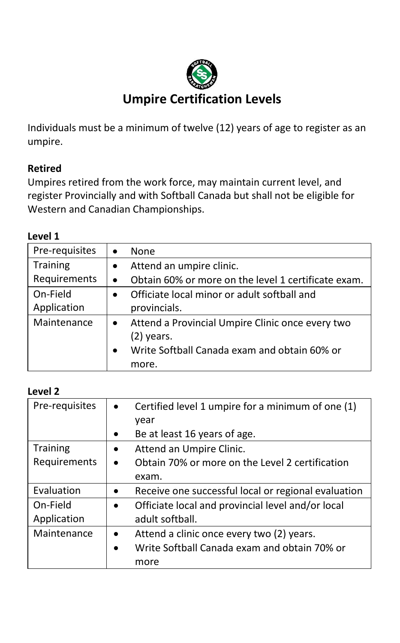

# **Umpire Certification Levels**

Individuals must be a minimum of twelve (12) years of age to register as an umpire.

### **Retired**

Umpires retired from the work force, may maintain current level, and register Provincially and with Softball Canada but shall not be eligible for Western and Canadian Championships.

#### **Level 1**

| Pre-requisites | None                                                |
|----------------|-----------------------------------------------------|
| Training       | Attend an umpire clinic.                            |
| Requirements   | Obtain 60% or more on the level 1 certificate exam. |
| On-Field       | Officiate local minor or adult softball and         |
| Application    | provincials.                                        |
| Maintenance    | Attend a Provincial Umpire Clinic once every two    |
|                | $(2)$ years.                                        |
|                | Write Softball Canada exam and obtain 60% or        |
|                | more.                                               |

#### **Level 2**

| Pre-requisites  | Certified level 1 umpire for a minimum of one (1)<br>year |
|-----------------|-----------------------------------------------------------|
|                 | Be at least 16 years of age.                              |
| <b>Training</b> | Attend an Umpire Clinic.                                  |
| Requirements    | Obtain 70% or more on the Level 2 certification           |
|                 | exam.                                                     |
| Evaluation      | Receive one successful local or regional evaluation       |
| On-Field        | Officiate local and provincial level and/or local         |
| Application     | adult softball.                                           |
| Maintenance     | Attend a clinic once every two (2) years.                 |
|                 | Write Softball Canada exam and obtain 70% or              |
|                 | more                                                      |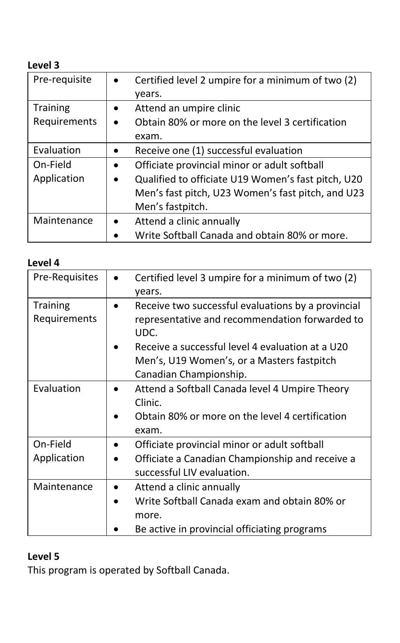# **Level 3**

| Pre-requisite   | Certified level 2 umpire for a minimum of two (2)<br>vears. |
|-----------------|-------------------------------------------------------------|
| <b>Training</b> | Attend an umpire clinic<br>٠                                |
| Requirements    | Obtain 80% or more on the level 3 certification             |
|                 | exam.                                                       |
| Evaluation      | Receive one (1) successful evaluation                       |
| On-Field        | Officiate provincial minor or adult softball<br>$\bullet$   |
| Application     | Qualified to officiate U19 Women's fast pitch, U20          |
|                 | Men's fast pitch, U23 Women's fast pitch, and U23           |
|                 | Men's fastpitch.                                            |
| Maintenance     | Attend a clinic annually                                    |
|                 | Write Softball Canada and obtain 80% or more.               |

| Level 4                         |                                                                                                                                                                                                                |
|---------------------------------|----------------------------------------------------------------------------------------------------------------------------------------------------------------------------------------------------------------|
| Pre-Requisites                  | Certified level 3 umpire for a minimum of two (2)<br>years.                                                                                                                                                    |
| <b>Training</b><br>Requirements | Receive two successful evaluations by a provincial<br>representative and recommendation forwarded to<br>UDC.<br>Receive a successful level 4 evaluation at a U20<br>Men's, U19 Women's, or a Masters fastpitch |
|                                 | Canadian Championship.                                                                                                                                                                                         |
| Evaluation                      | Attend a Softball Canada level 4 Umpire Theory<br>Clinic.<br>Obtain 80% or more on the level 4 certification<br>exam.                                                                                          |
| On-Field                        | Officiate provincial minor or adult softball                                                                                                                                                                   |
| Application                     | Officiate a Canadian Championship and receive a<br>successful LIV evaluation.                                                                                                                                  |
| Maintenance                     | Attend a clinic annually<br>Write Softball Canada exam and obtain 80% or<br>more.<br>Be active in provincial officiating programs                                                                              |

# **Level 5**

This program is operated by Softball Canada.